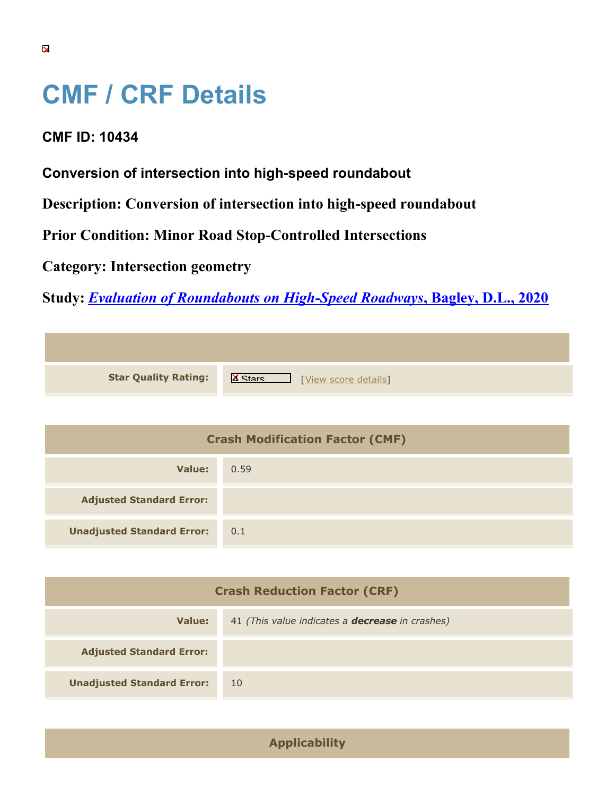## **CMF / CRF Details**

## **CMF ID: 10434**

**Conversion of intersection into high-speed roundabout**

**Description: Conversion of intersection into high-speed roundabout**

**Prior Condition: Minor Road Stop-Controlled Intersections**

**Category: Intersection geometry**

**Study:** *[Evaluation of Roundabouts on High-Speed Roadways](https://cmfclearinghouse.org/study_detail.cfm?stid=605)***[, Bagley, D.L., 2020](https://cmfclearinghouse.org/study_detail.cfm?stid=605)**

| <b>Star Quality Rating:</b> | $\mathbb{R}$<br>[View score details] |
|-----------------------------|--------------------------------------|

| <b>Crash Modification Factor (CMF)</b> |      |
|----------------------------------------|------|
| Value:                                 | 0.59 |
| <b>Adjusted Standard Error:</b>        |      |
| <b>Unadjusted Standard Error:</b>      | 0.1  |

| <b>Crash Reduction Factor (CRF)</b> |                                                        |
|-------------------------------------|--------------------------------------------------------|
| Value:                              | 41 (This value indicates a <b>decrease</b> in crashes) |
| <b>Adjusted Standard Error:</b>     |                                                        |
| <b>Unadjusted Standard Error:</b>   | -10                                                    |

**Applicability**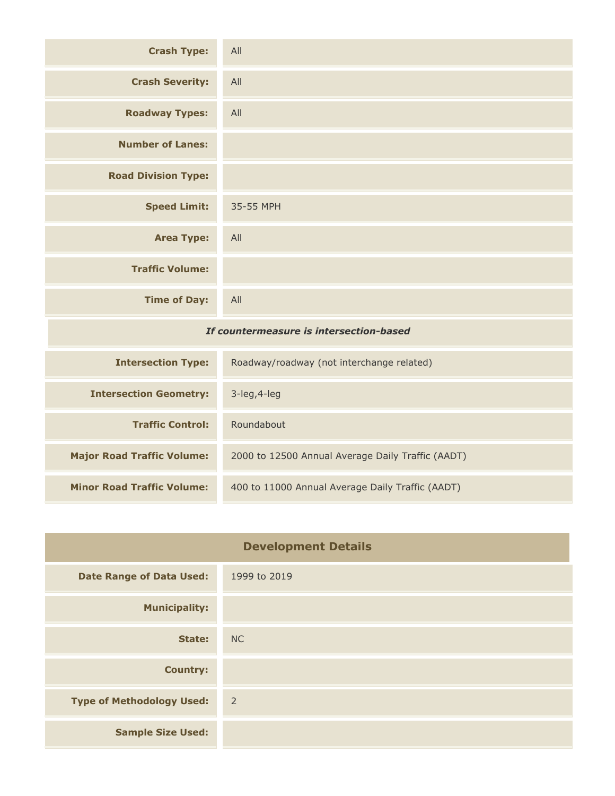| <b>Crash Type:</b>                      | All       |
|-----------------------------------------|-----------|
| <b>Crash Severity:</b>                  | All       |
| <b>Roadway Types:</b>                   | All       |
| <b>Number of Lanes:</b>                 |           |
| <b>Road Division Type:</b>              |           |
| <b>Speed Limit:</b>                     | 35-55 MPH |
| <b>Area Type:</b>                       | All       |
| <b>Traffic Volume:</b>                  |           |
| <b>Time of Day:</b>                     | All       |
| If countermeasure is intersection-based |           |
|                                         |           |

| <b>Intersection Type:</b>         | Roadway/roadway (not interchange related)         |
|-----------------------------------|---------------------------------------------------|
| <b>Intersection Geometry:</b>     | $3$ -leg, $4$ -leg                                |
| <b>Traffic Control:</b>           | Roundabout                                        |
| <b>Major Road Traffic Volume:</b> | 2000 to 12500 Annual Average Daily Traffic (AADT) |
| <b>Minor Road Traffic Volume:</b> | 400 to 11000 Annual Average Daily Traffic (AADT)  |

| <b>Development Details</b>       |                |
|----------------------------------|----------------|
| <b>Date Range of Data Used:</b>  | 1999 to 2019   |
| <b>Municipality:</b>             |                |
| State:                           | <b>NC</b>      |
| <b>Country:</b>                  |                |
| <b>Type of Methodology Used:</b> | $\overline{2}$ |
| <b>Sample Size Used:</b>         |                |